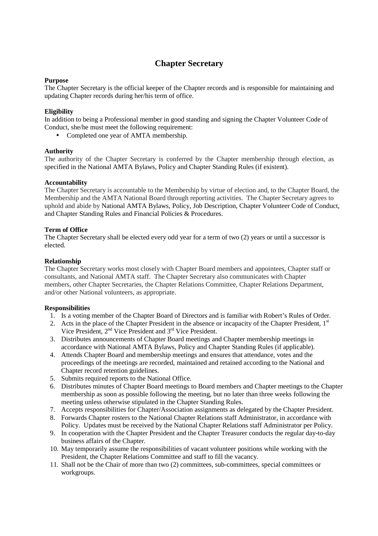# **Chapter Secretary**

### **Purpose**

The Chapter Secretary is the official keeper of the Chapter records and is responsible for maintaining and updating Chapter records during her/his term of office.

# **Eligibility**

In addition to being a Professional member in good standing and signing the Chapter Volunteer Code of Conduct, she/he must meet the following requirement:

• Completed one year of AMTA membership.

### **Authority**

The authority of the Chapter Secretary is conferred by the Chapter membership through election, as specified in the National AMTA Bylaws, Policy and Chapter Standing Rules (if existent).

# **Accountability**

The Chapter Secretary is accountable to the Membership by virtue of election and, to the Chapter Board, the Membership and the AMTA National Board through reporting activities. The Chapter Secretary agrees to uphold and abide by National AMTA Bylaws, Policy, Job Description, Chapter Volunteer Code of Conduct, and Chapter Standing Rules and Financial Policies & Procedures.

# **Term of Office**

The Chapter Secretary shall be elected every odd year for a term of two (2) years or until a successor is elected.

# **Relationship**

The Chapter Secretary works most closely with Chapter Board members and appointees, Chapter staff or consultants, and National AMTA staff. The Chapter Secretary also communicates with Chapter members, other Chapter Secretaries, the Chapter Relations Committee, Chapter Relations Department, and/or other National volunteers, as appropriate.

### **Responsibilities**

- 1. Is a voting member of the Chapter Board of Directors and is familiar with Robert's Rules of Order.
- 2. Acts in the place of the Chapter President in the absence or incapacity of the Chapter President, 1<sup>st</sup> Vice President, 2nd Vice President and 3rd Vice President.
- 3. Distributes announcements of Chapter Board meetings and Chapter membership meetings in accordance with National AMTA Bylaws, Policy and Chapter Standing Rules (if applicable).
- 4. Attends Chapter Board and membership meetings and ensures that attendance, votes and the proceedings of the meetings are recorded, maintained and retained according to the National and Chapter record retention guidelines.
- 5. Submits required reports to the National Office.
- 6. Distributes minutes of Chapter Board meetings to Board members and Chapter meetings to the Chapter membership as soon as possible following the meeting, but no later than three weeks following the meeting unless otherwise stipulated in the Chapter Standing Rules.
- 7. Accepts responsibilities for Chapter/Association assignments as delegated by the Chapter President.
- 8. Forwards Chapter rosters to the National Chapter Relations staff Administrator, in accordance with Policy. Updates must be received by the National Chapter Relations staff Administrator per Policy.
- 9. In cooperation with the Chapter President and the Chapter Treasurer conducts the regular day-to-day business affairs of the Chapter.
- 10. May temporarily assume the responsibilities of vacant volunteer positions while working with the President, the Chapter Relations Committee and staff to fill the vacancy.
- 11. Shall not be the Chair of more than two (2) committees, sub-committees, special committees or workgroups.